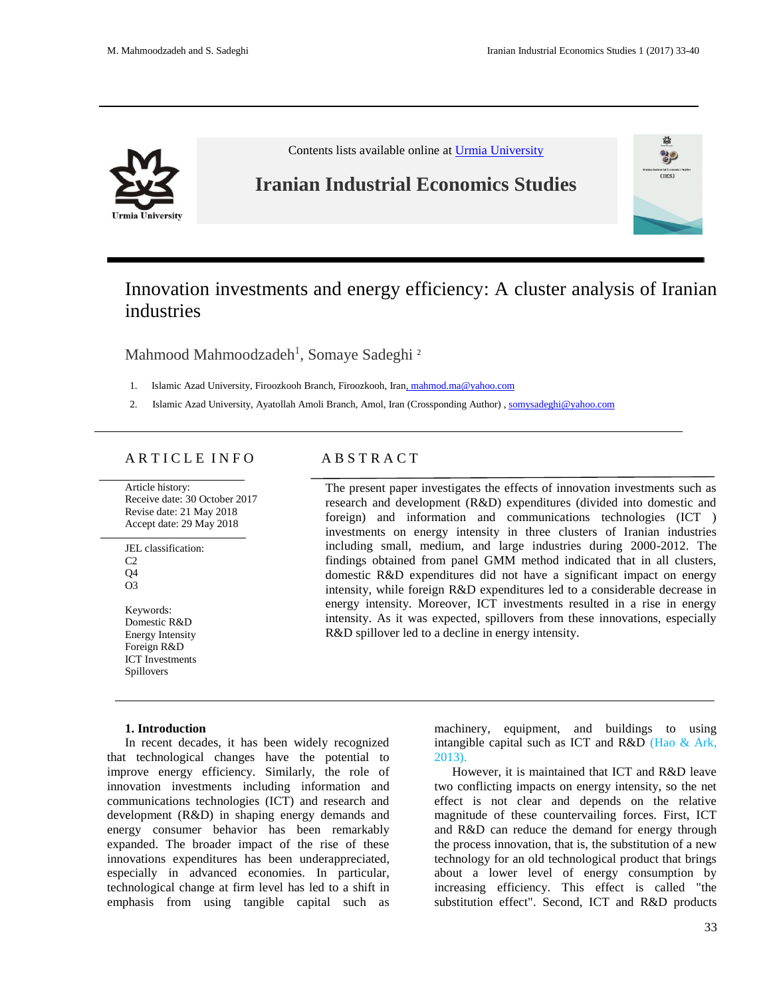

Contents lists available online a[t Urmia University](http://iies.urmia.ac.ir/)

# **Iranian Industrial Economics Studies**



# Innovation investments and energy efficiency: A cluster analysis of Iranian industries

Mahmood Mahmoodzadeh<sup>1</sup>, Somaye Sadeghi<sup>2</sup>

- 1. Islamic Azad University, Firoozkooh Branch, Firoozkooh, Iran, mahmod.ma@yahoo.com
- 2. Islamic Azad University, Ayatollah Amoli Branch, Amol, Iran (Crossponding Author) , somysadeghi@yahoo.com

## A R T I C L E I N F O A B S T R A C T

Article history: Receive date: 30 October 2017 Revise date: 21 May 2018 Accept date: 29 May 2018

JEL classification:  $C2$ Q4 O3

Keywords: Domestic R&D Energy Intensity Foreign R&D ICT Investments Spillovers

The present paper investigates the effects of innovation investments such as research and development (R&D) expenditures (divided into domestic and foreign) and information and communications technologies (ICT ) investments on energy intensity in three clusters of Iranian industries including small, medium, and large industries during 2000-2012. The findings obtained from panel GMM method indicated that in all clusters, domestic R&D expenditures did not have a significant impact on energy intensity, while foreign R&D expenditures led to a considerable decrease in energy intensity. Moreover, ICT investments resulted in a rise in energy intensity. As it was expected, spillovers from these innovations, especially R&D spillover led to a decline in energy intensity.

#### **1. Introduction**

In recent decades, it has been widely recognized that technological changes have the potential to improve energy efficiency. Similarly, the role of innovation investments including information and communications technologies (ICT) and research and development (R&D) in shaping energy demands and energy consumer behavior has been remarkably expanded. The broader impact of the rise of these innovations expenditures has been underappreciated, especially in advanced economies. In particular, technological change at firm level has led to a shift in emphasis from using tangible capital such as

machinery, equipment, and buildings to using intangible capital such as ICT and R&D (Hao & Ark, 2013).

However, it is maintained that ICT and R&D leave two conflicting impacts on energy intensity, so the net effect is not clear and depends on the relative magnitude of these countervailing forces. First, ICT and R&D can reduce the demand for energy through the process innovation, that is, the substitution of a new technology for an old technological product that brings about a lower level of energy consumption by increasing efficiency. This effect is called "the substitution effect". Second, ICT and R&D products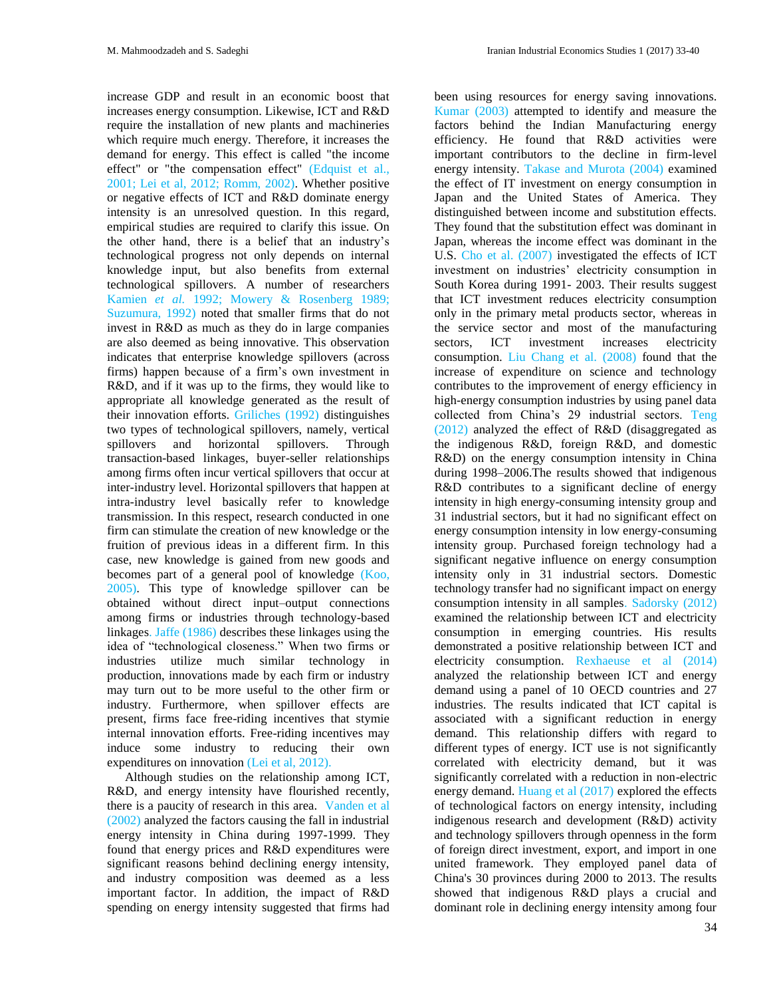increase GDP and result in an economic boost that increases energy consumption. Likewise, ICT and R&D require the installation of new plants and machineries which require much energy. Therefore, it increases the demand for energy. This effect is called "the income effect" or "the compensation effect" (Edquist et al., 2001; Lei et al, 2012; Romm, 2002). Whether positive or negative effects of ICT and R&D dominate energy intensity is an unresolved question. In this regard, empirical studies are required to clarify this issue. On the other hand, there is a belief that an industry's technological progress not only depends on internal knowledge input, but also benefits from external technological spillovers. A number of researchers Kamien *et al.* 1992; Mowery & Rosenberg 1989; Suzumura, 1992) noted that smaller firms that do not invest in R&D as much as they do in large companies are also deemed as being innovative. This observation indicates that enterprise knowledge spillovers (across firms) happen because of a firm's own investment in R&D, and if it was up to the firms, they would like to appropriate all knowledge generated as the result of their innovation efforts. Griliches (1992) distinguishes two types of technological spillovers, namely, vertical spillovers and horizontal spillovers. Through transaction-based linkages, buyer-seller relationships among firms often incur vertical spillovers that occur at inter-industry level. Horizontal spillovers that happen at intra-industry level basically refer to knowledge transmission. In this respect, research conducted in one firm can stimulate the creation of new knowledge or the fruition of previous ideas in a different firm. In this case, new knowledge is gained from new goods and becomes part of a general pool of knowledge (Koo, 2005). This type of knowledge spillover can be obtained without direct input–output connections among firms or industries through technology-based linkages. Jaffe (1986) describes these linkages using the idea of "technological closeness." When two firms or industries utilize much similar technology in production, innovations made by each firm or industry may turn out to be more useful to the other firm or industry. Furthermore, when spillover effects are present, firms face free-riding incentives that stymie internal innovation efforts. Free-riding incentives may induce some industry to reducing their own expenditures on innovation (Lei et al, 2012).

Although studies on the relationship among ICT, R&D, and energy intensity have flourished recently, there is a paucity of research in this area. Vanden et al (2002) analyzed the factors causing the fall in industrial energy intensity in China during 1997-1999. They found that energy prices and R&D expenditures were significant reasons behind declining energy intensity, and industry composition was deemed as a less important factor. In addition, the impact of R&D spending on energy intensity suggested that firms had

been using resources for energy saving innovations. Kumar (2003) attempted to identify and measure the factors behind the Indian Manufacturing energy efficiency. He found that R&D activities were important contributors to the decline in firm-level energy intensity. Takase and Murota (2004) examined the effect of IT investment on energy consumption in Japan and the United States of America. They distinguished between income and substitution effects. They found that the substitution effect was dominant in Japan, whereas the income effect was dominant in the U.S. Cho et al. (2007) investigated the effects of ICT investment on industries' electricity consumption in South Korea during 1991- 2003. Their results suggest that ICT investment reduces electricity consumption only in the primary metal products sector, whereas in the service sector and most of the manufacturing sectors, ICT investment increases electricity consumption. Liu Chang et al. (2008) found that the increase of expenditure on science and technology contributes to the improvement of energy efficiency in high-energy consumption industries by using panel data collected from China's 29 industrial sectors. Teng (2012) analyzed the effect of R&D (disaggregated as the indigenous R&D, foreign R&D, and domestic R&D) on the energy consumption intensity in China during 1998–2006.The results showed that indigenous R&D contributes to a significant decline of energy intensity in high energy-consuming intensity group and 31 industrial sectors, but it had no significant effect on energy consumption intensity in low energy-consuming intensity group. Purchased foreign technology had a significant negative influence on energy consumption intensity only in 31 industrial sectors. Domestic technology transfer had no significant impact on energy consumption intensity in all samples. Sadorsky (2012) examined the relationship between ICT and electricity consumption in emerging countries. His results demonstrated a positive relationship between ICT and electricity consumption. Rexhaeuse et al (2014) analyzed the relationship between ICT and energy demand using a panel of 10 OECD countries and 27 industries. The results indicated that ICT capital is associated with a significant reduction in energy demand. This relationship differs with regard to different types of energy. ICT use is not significantly correlated with electricity demand, but it was significantly correlated with a reduction in non-electric energy demand. Huang et al (2017) explored the effects of technological factors on energy intensity, including indigenous research and development (R&D) activity and technology spillovers through openness in the form of foreign direct investment, export, and import in one united framework. They employed panel data of China's 30 provinces during 2000 to 2013. The results showed that indigenous R&D plays a crucial and dominant role in declining energy intensity among four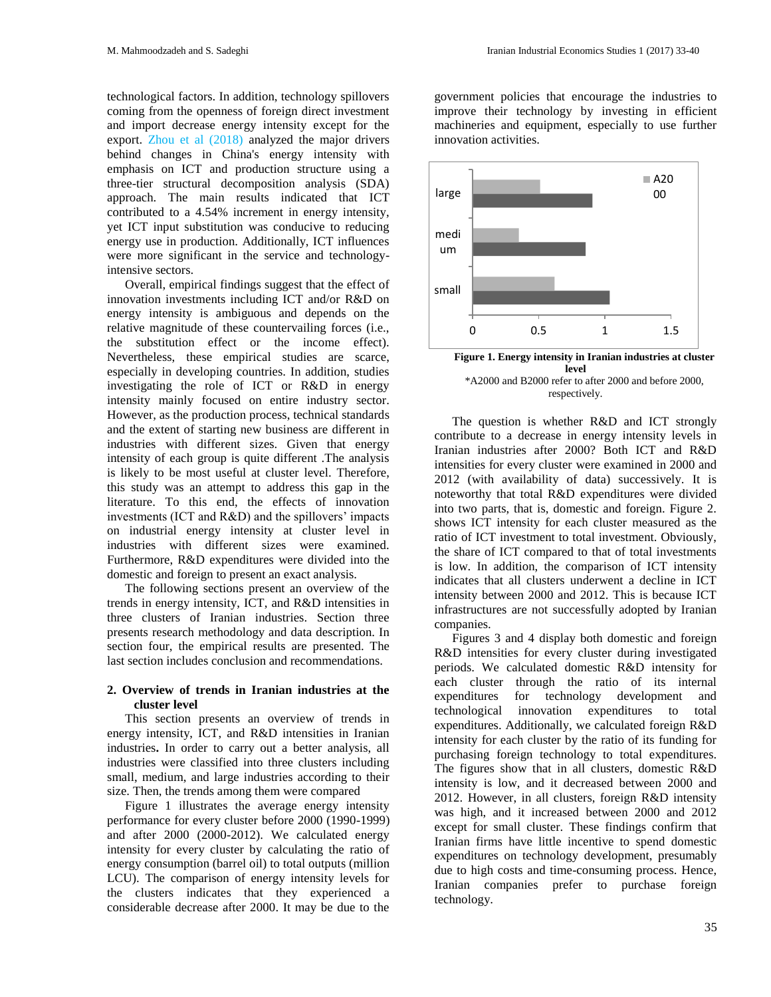technological factors. In addition, technology spillovers coming from the openness of foreign direct investment and import decrease energy intensity except for the export. Zhou et al (2018) analyzed the major drivers behind changes in China's energy intensity with emphasis on ICT and production structure using a three-tier structural decomposition analysis (SDA) approach. The main results indicated that ICT contributed to a 4.54% increment in energy intensity, yet ICT input substitution was conducive to reducing energy use in production. Additionally, ICT influences were more significant in the service and technologyintensive sectors.

Overall, empirical findings suggest that the effect of innovation investments including ICT and/or R&D on energy intensity is ambiguous and depends on the relative magnitude of these countervailing forces (i.e., the substitution effect or the income effect). Nevertheless, these empirical studies are scarce, especially in developing countries. In addition, studies investigating the role of ICT or R&D in energy intensity mainly focused on entire industry sector. However, as the production process, technical standards and the extent of starting new business are different in industries with different sizes. Given that energy intensity of each group is quite different .The analysis is likely to be most useful at cluster level. Therefore, this study was an attempt to address this gap in the literature. To this end, the effects of innovation investments (ICT and R&D) and the spillovers' impacts on industrial energy intensity at cluster level in industries with different sizes were examined. Furthermore, R&D expenditures were divided into the domestic and foreign to present an exact analysis.

The following sections present an overview of the trends in energy intensity, ICT, and R&D intensities in three clusters of Iranian industries. Section three presents research methodology and data description. In section four, the empirical results are presented. The last section includes conclusion and recommendations.

#### **2. Overview of trends in Iranian industries at the cluster level**

This section presents an overview of trends in energy intensity, ICT, and R&D intensities in Iranian industries**.** In order to carry out a better analysis, all industries were classified into three clusters including small, medium, and large industries according to their size. Then, the trends among them were compared

Figure 1 illustrates the average energy intensity performance for every cluster before 2000 (1990-1999) and after 2000 (2000-2012). We calculated energy intensity for every cluster by calculating the ratio of energy consumption (barrel oil) to total outputs (million LCU). The comparison of energy intensity levels for the clusters indicates that they experienced a considerable decrease after 2000. It may be due to the

government policies that encourage the industries to improve their technology by investing in efficient machineries and equipment, especially to use further innovation activities.



respectively.

The question is whether R&D and ICT strongly contribute to a decrease in energy intensity levels in Iranian industries after 2000? Both ICT and R&D intensities for every cluster were examined in 2000 and 2012 (with availability of data) successively. It is noteworthy that total R&D expenditures were divided into two parts, that is, domestic and foreign. Figure 2. shows ICT intensity for each cluster measured as the ratio of ICT investment to total investment. Obviously, the share of ICT compared to that of total investments is low. In addition, the comparison of ICT intensity indicates that all clusters underwent a decline in ICT intensity between 2000 and 2012. This is because ICT infrastructures are not successfully adopted by Iranian companies.

Figures 3 and 4 display both domestic and foreign R&D intensities for every cluster during investigated periods. We calculated domestic R&D intensity for each cluster through the ratio of its internal expenditures for technology development and technological innovation expenditures to total expenditures. Additionally, we calculated foreign R&D intensity for each cluster by the ratio of its funding for purchasing foreign technology to total expenditures. The figures show that in all clusters, domestic R&D intensity is low, and it decreased between 2000 and 2012. However, in all clusters, foreign R&D intensity was high, and it increased between 2000 and 2012 except for small cluster. These findings confirm that Iranian firms have little incentive to spend domestic expenditures on technology development, presumably due to high costs and time-consuming process. Hence, Iranian companies prefer to purchase foreign technology.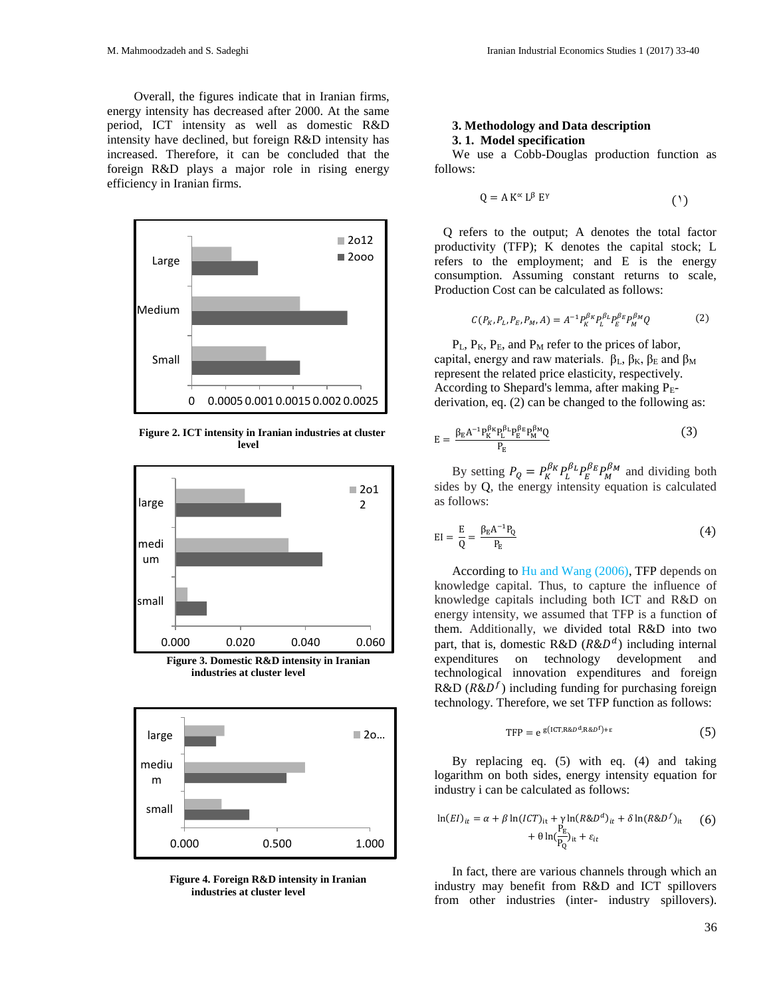Overall, the figures indicate that in Iranian firms, energy intensity has decreased after 2000. At the same period, ICT intensity as well as domestic R&D intensity have declined, but foreign R&D intensity has increased. Therefore, it can be concluded that the foreign R&D plays a major role in rising energy efficiency in Iranian firms.



**Figure 2. ICT intensity in Iranian industries at cluster level**



**industries at cluster level**



 **Figure 4. Foreign R&D intensity in Iranian industries at cluster level** 

#### **3. Methodology and Data description 3. 1. Model specification**

We use a Cobb-Douglas production function as follows:

$$
Q = A K^{\alpha} L^{\beta} E^{\gamma}
$$
 (1)

Q refers to the output; A denotes the total factor productivity (TFP); K denotes the capital stock; L refers to the employment; and E is the energy consumption. Assuming constant returns to scale, Production Cost can be calculated as follows:

$$
C(P_K, P_L, P_E, P_M, A) = A^{-1} P_K^{\beta_K} P_L^{\beta_L} P_E^{\beta_E} P_M^{\beta_M} Q \tag{2}
$$

 $P_L$ ,  $P_K$ ,  $P_E$ , and  $P_M$  refer to the prices of labor, capital, energy and raw materials.  $β$ <sub>L</sub>,  $β$ <sub>K</sub>,  $β$ <sub>E</sub> and  $β$ <sub>M</sub> represent the related price elasticity, respectively. According to Shepard's lemma, after making  $P_E$ derivation, eq. (2) can be changed to the following as:

$$
E = \frac{\beta_{E} A^{-1} P_{K}^{\beta_{K}} P_{L}^{\beta_{L}} P_{E}^{\beta_{E}} P_{M}^{\beta_{M}} Q}{P_{E}}
$$
(3)

By setting  $P_Q = P_K^{\beta_K} P_L^{\beta_L} P_E^{\beta_E} P_M^{\beta_M}$  and dividing both sides by Q, the energy intensity equation is calculated as follows:

$$
EI = \frac{E}{Q} = \frac{\beta_E A^{-1} P_Q}{P_E} \tag{4}
$$

According to Hu and Wang (2006), TFP depends on knowledge capital. Thus, to capture the influence of knowledge capitals including both ICT and R&D on energy intensity, we assumed that TFP is a function of them. Additionally, we divided total R&D into two part, that is, domestic R&D  $(R&D<sup>d</sup>)$  including internal expenditures on technology development and technological innovation expenditures and foreign R&D ( $R&D<sup>f</sup>$ ) including funding for purchasing foreign technology. Therefore, we set TFP function as follows:

$$
TFP = e^{g(ICT, R&D^d, R&D^f) + \varepsilon}
$$
\n<sup>(5)</sup>

By replacing eq. (5) with eq. (4) and taking logarithm on both sides, energy intensity equation for industry i can be calculated as follows:

$$
\ln(EI)_{it} = \alpha + \beta \ln(ICT)_{it} + \gamma \ln(R \& D^d)_{it} + \delta \ln(R \& D^f)_{it}
$$
  
+ 
$$
\theta \ln(\frac{P_E}{P_Q})_{it} + \varepsilon_{it}
$$
 (6)

In fact, there are various channels through which an industry may benefit from R&D and ICT spillovers from other industries (inter- industry spillovers).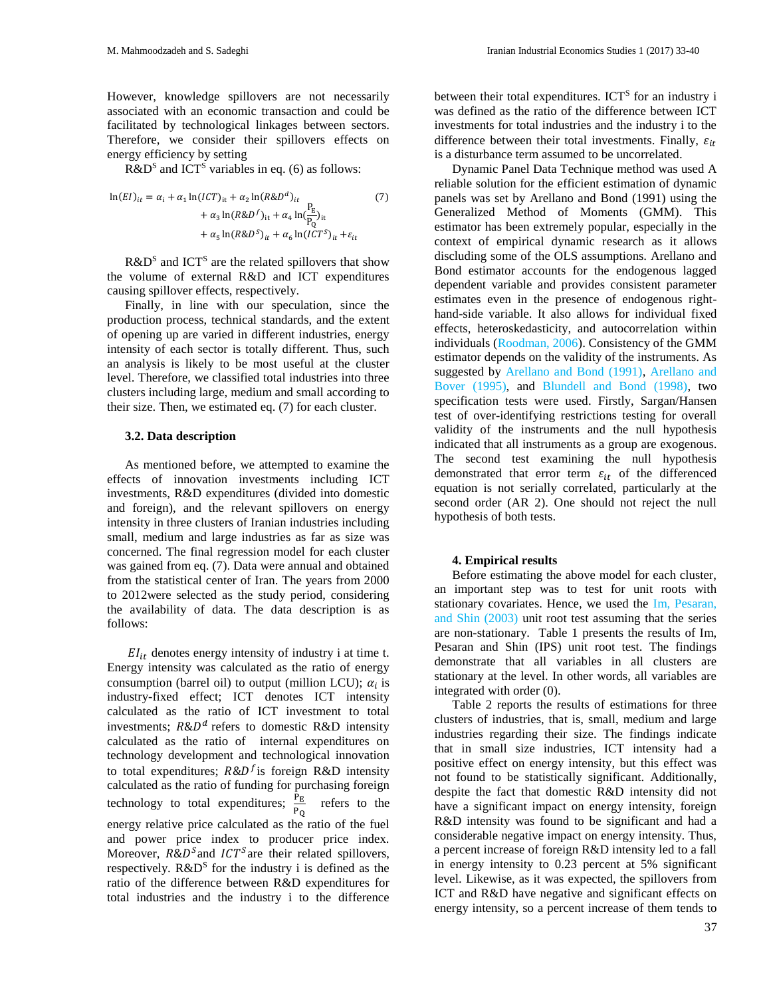However, knowledge spillovers are not necessarily associated with an economic transaction and could be facilitated by technological linkages between sectors. Therefore, we consider their spillovers effects on energy efficiency by setting

 $R&D<sup>S</sup>$  and ICT<sup>S</sup> variables in eq. (6) as follows:

$$
\ln(EI)_{it} = \alpha_i + \alpha_1 \ln(ICT)_{it} + \alpha_2 \ln(RBD^d)_{it}
$$
  
+  $\alpha_3 \ln(RBD^f)_{it} + \alpha_4 \ln(\frac{P_E}{P_Q})_{it}$   
+  $\alpha_5 \ln(RBD^S)_{it} + \alpha_6 \ln(ICT^S)_{it} + \varepsilon_{it}$ 

 $R&D<sup>S</sup>$  and ICT<sup>S</sup> are the related spillovers that show the volume of external R&D and ICT expenditures causing spillover effects, respectively.

Finally, in line with our speculation, since the production process, technical standards, and the extent of opening up are varied in different industries, energy intensity of each sector is totally different. Thus, such an analysis is likely to be most useful at the cluster level. Therefore, we classified total industries into three clusters including large, medium and small according to their size. Then, we estimated eq. (7) for each cluster.

#### **3.2. Data description**

As mentioned before, we attempted to examine the effects of innovation investments including ICT investments, R&D expenditures (divided into domestic and foreign), and the relevant spillovers on energy intensity in three clusters of Iranian industries including small, medium and large industries as far as size was concerned. The final regression model for each cluster was gained from eq. (7). Data were annual and obtained from the statistical center of Iran. The years from 2000 to 2012were selected as the study period, considering the availability of data. The data description is as follows:

 $EI_{it}$  denotes energy intensity of industry i at time t. Energy intensity was calculated as the ratio of energy consumption (barrel oil) to output (million LCU);  $\alpha_i$  is industry-fixed effect; ICT denotes ICT intensity calculated as the ratio of ICT investment to total investments;  $R\&D^d$  refers to domestic R&D intensity calculated as the ratio of internal expenditures on technology development and technological innovation to total expenditures;  $R&D<sup>f</sup>$  is foreign R&D intensity calculated as the ratio of funding for purchasing foreign technology to total expenditures;  $\frac{P_E}{P_Q}$  refers to the energy relative price calculated as the ratio of the fuel and power price index to producer price index. Moreover,  $R&D^S$  and  $ICT^S$  are their related spillovers, respectively.  $R&D^S$  for the industry i is defined as the ratio of the difference between R&D expenditures for total industries and the industry i to the difference

between their total expenditures. ICT<sup>S</sup> for an industry i was defined as the ratio of the difference between ICT investments for total industries and the industry i to the difference between their total investments. Finally,  $\varepsilon_{it}$ is a disturbance term assumed to be uncorrelated.

Dynamic Panel Data Technique method was used A reliable solution for the efficient estimation of dynamic panels was set by Arellano and Bond (1991) using the Generalized Method of Moments (GMM). This estimator has been extremely popular, especially in the context of empirical dynamic research as it allows discluding some of the OLS assumptions. Arellano and Bond estimator accounts for the endogenous lagged dependent variable and provides consistent parameter estimates even in the presence of endogenous righthand-side variable. It also allows for individual fixed effects, heteroskedasticity, and autocorrelation within individuals (Roodman, 2006). Consistency of the GMM estimator depends on the validity of the instruments. As suggested by Arellano and Bond (1991), Arellano and Bover (1995), and Blundell and Bond (1998), two specification tests were used. Firstly, Sargan/Hansen test of over-identifying restrictions testing for overall validity of the instruments and the null hypothesis indicated that all instruments as a group are exogenous. The second test examining the null hypothesis demonstrated that error term  $\varepsilon_{it}$  of the differenced equation is not serially correlated, particularly at the second order (AR 2). One should not reject the null hypothesis of both tests.

#### **4. Empirical results**

Before estimating the above model for each cluster, an important step was to test for unit roots with stationary covariates. Hence, we used the Im, Pesaran, and Shin (2003) unit root test assuming that the series are non-stationary. Table 1 presents the results of Im, Pesaran and Shin (IPS) unit root test. The findings demonstrate that all variables in all clusters are stationary at the level. In other words, all variables are integrated with order (0).

Table 2 reports the results of estimations for three clusters of industries, that is, small, medium and large industries regarding their size. The findings indicate that in small size industries, ICT intensity had a positive effect on energy intensity, but this effect was not found to be statistically significant. Additionally, despite the fact that domestic R&D intensity did not have a significant impact on energy intensity, foreign R&D intensity was found to be significant and had a considerable negative impact on energy intensity. Thus, a percent increase of foreign R&D intensity led to a fall in energy intensity to 0.23 percent at 5% significant level. Likewise, as it was expected, the spillovers from ICT and R&D have negative and significant effects on energy intensity, so a percent increase of them tends to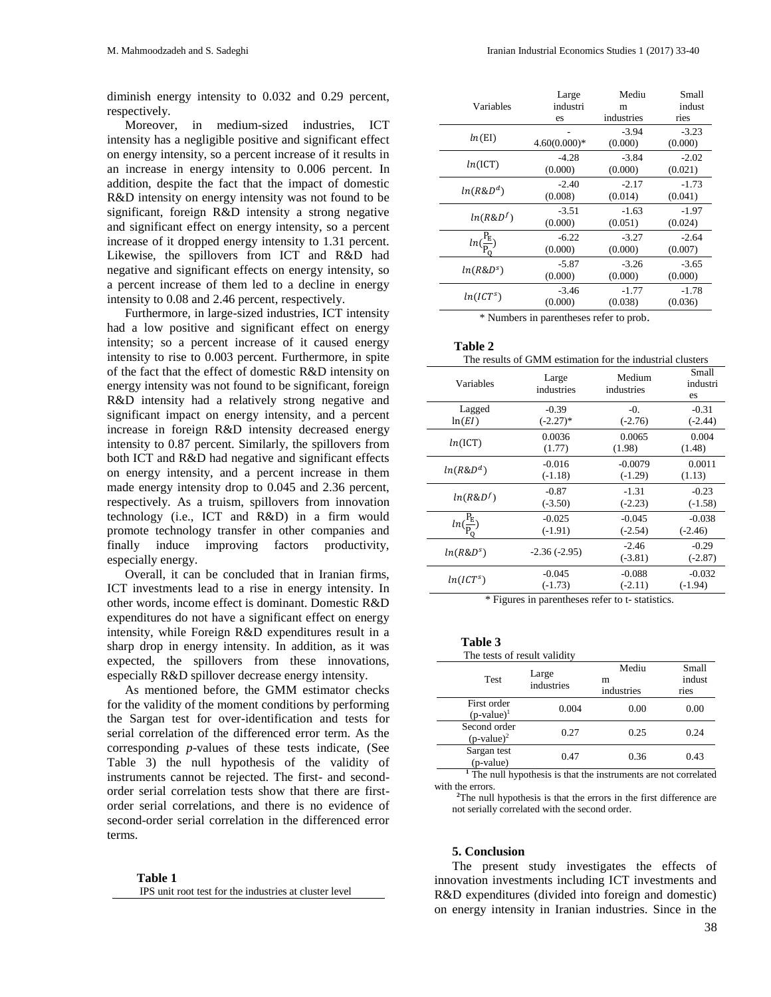diminish energy intensity to 0.032 and 0.29 percent, respectively.

Moreover, in medium-sized industries, ICT intensity has a negligible positive and significant effect on energy intensity, so a percent increase of it results in an increase in energy intensity to 0.006 percent. In addition, despite the fact that the impact of domestic R&D intensity on energy intensity was not found to be significant, foreign R&D intensity a strong negative and significant effect on energy intensity, so a percent increase of it dropped energy intensity to 1.31 percent. Likewise, the spillovers from ICT and R&D had negative and significant effects on energy intensity, so a percent increase of them led to a decline in energy intensity to 0.08 and 2.46 percent, respectively.

Furthermore, in large-sized industries, ICT intensity had a low positive and significant effect on energy intensity; so a percent increase of it caused energy intensity to rise to 0.003 percent. Furthermore, in spite of the fact that the effect of domestic R&D intensity on energy intensity was not found to be significant, foreign R&D intensity had a relatively strong negative and significant impact on energy intensity, and a percent increase in foreign R&D intensity decreased energy intensity to 0.87 percent. Similarly, the spillovers from both ICT and R&D had negative and significant effects on energy intensity, and a percent increase in them made energy intensity drop to 0.045 and 2.36 percent, respectively. As a truism, spillovers from innovation technology (i.e., ICT and R&D) in a firm would promote technology transfer in other companies and finally induce improving factors productivity, especially energy.

Overall, it can be concluded that in Iranian firms, ICT investments lead to a rise in energy intensity. In other words, income effect is dominant. Domestic R&D expenditures do not have a significant effect on energy intensity, while Foreign R&D expenditures result in a sharp drop in energy intensity. In addition, as it was expected, the spillovers from these innovations, especially R&D spillover decrease energy intensity.

As mentioned before, the GMM estimator checks for the validity of the moment conditions by performing the Sargan test for over-identification and tests for serial correlation of the differenced error term. As the corresponding *p*-values of these tests indicate, (See Table 3) the null hypothesis of the validity of instruments cannot be rejected. The first- and secondorder serial correlation tests show that there are firstorder serial correlations, and there is no evidence of second-order serial correlation in the differenced error terms.

| Table 1                                                |
|--------------------------------------------------------|
| IPS unit root test for the industries at cluster level |

|                                  | Large          | Mediu      | Small   |
|----------------------------------|----------------|------------|---------|
| Variables                        | industri       | m          | indust  |
|                                  | es             | industries | ries    |
| ln(EI)                           |                | $-3.94$    | $-3.23$ |
|                                  | $4.60(0.000)*$ | (0.000)    | (0.000) |
| ln(ICT)                          | $-4.28$        | $-3.84$    | $-2.02$ |
|                                  | (0.000)        | (0.000)    | (0.021) |
| $ln(R\&D^d)$                     | $-2.40$        | $-2.17$    | $-1.73$ |
|                                  | (0.008)        | (0.014)    | (0.041) |
| $ln(R\&Df)$                      | $-3.51$        | $-1.63$    | $-1.97$ |
|                                  | (0.000)        | (0.051)    | (0.024) |
| $P_{\rm E}$<br>$ln(\frac{E}{n})$ | $-6.22$        | $-3.27$    | $-2.64$ |
|                                  | (0.000)        | (0.000)    | (0.007) |
| ln(R&D <sup>s</sup> )            | $-5.87$        | $-3.26$    | $-3.65$ |
|                                  | (0.000)        | (0.000)    | (0.000) |
| $ln(ICT^s)$                      | $-3.46$        | $-1.77$    | $-1.78$ |
|                                  | (0.000)        | (0.038)    | (0.036) |
|                                  |                |            |         |

\* Numbers in parentheses refer to prob.

#### **Table 2** The results of GMM estimation for the industrial clusters Small industri es Medium industries Large Variables Large industries -0.31 (-2.44) -0. (-2.76) -0.39  $(-2.27)$ \* Lagged  $ln(EI)$ 0.004 (1.48) 0.0065 (1.98)  $0.0036$ <br> $(1.77)$  $ln(ICT)$ 0.0011 (1.13)  $-0.0079$ (-1.29)  $-0.016$ <br> $(-1.18)$  $ln(R&D<sup>d</sup>)$  (-1.18) -0.23 (-1.58) -1.31 (-2.23) -0.87  $ln(R\&D^f)$  -0.67<br>(-3.50) -0.038  $(-2.46)$ -0.045 (-2.54) -0.025 (-1.91) ( PE  $\frac{E}{P_Q}$ -0.29 (-2.87) -2.46  $-2.36 (-2.95)$   $-2.40$ <br> $(-3.81)$  $ln(R&D<sup>s</sup>)$ -0.032 (-1.94) -0.088 (-2.11) -0.045  $ln(ICT^s)$  (-1.73)

\* Figures in parentheses refer to t- statistics.

### **Table 3**

| The tests of result validity  |                     |                          |                         |
|-------------------------------|---------------------|--------------------------|-------------------------|
| Test                          | Large<br>industries | Mediu<br>m<br>industries | Small<br>indust<br>ries |
| First order<br>$(p-value)^1$  | 0.004               | 0.00                     | 0.00                    |
| Second order<br>$(p-value)^2$ | 0.27                | 0.25                     | 0.24                    |
| Sargan test<br>(p-value)      | 0.47                | 0.36                     | 0.43                    |

**<sup>1</sup>** The null hypothesis is that the instruments are not correlated with the errors.

**<sup>2</sup>**The null hypothesis is that the errors in the first difference are not serially correlated with the second order.

#### **5. Conclusion**

The present study investigates the effects of innovation investments including ICT investments and R&D expenditures (divided into foreign and domestic) on energy intensity in Iranian industries. Since in the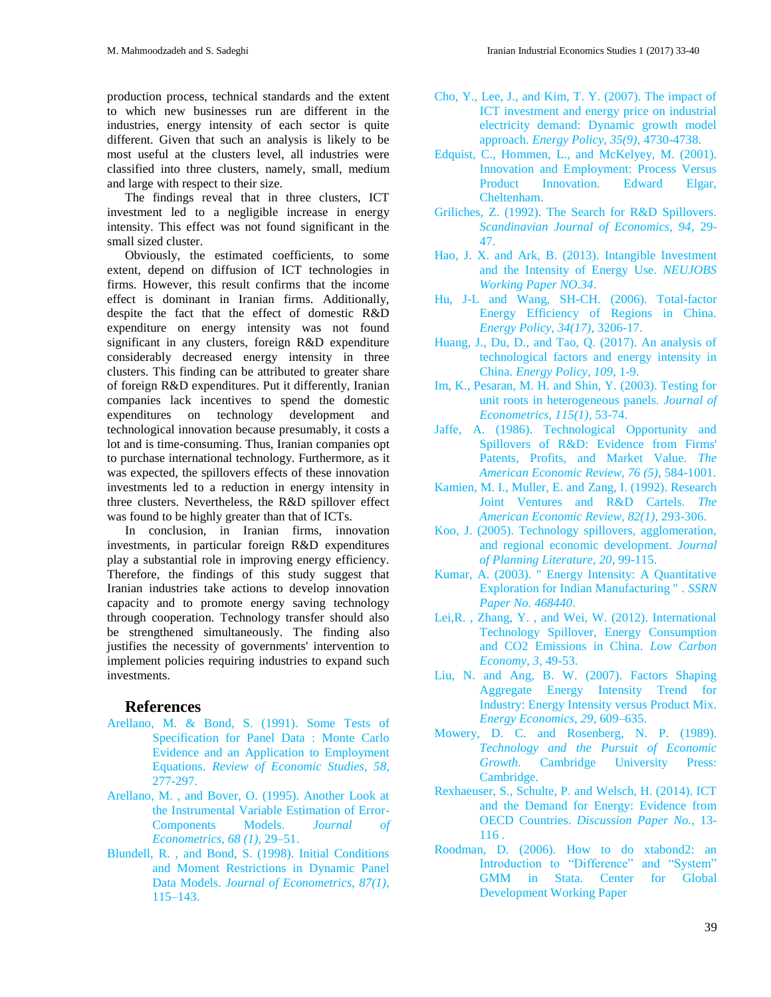production process, technical standards and the extent to which new businesses run are different in the industries, energy intensity of each sector is quite different. Given that such an analysis is likely to be most useful at the clusters level, all industries were classified into three clusters, namely, small, medium and large with respect to their size.

The findings reveal that in three clusters, ICT investment led to a negligible increase in energy intensity. This effect was not found significant in the small sized cluster.

Obviously, the estimated coefficients, to some extent, depend on diffusion of ICT technologies in firms. However, this result confirms that the income effect is dominant in Iranian firms. Additionally, despite the fact that the effect of domestic R&D expenditure on energy intensity was not found significant in any clusters, foreign R&D expenditure considerably decreased energy intensity in three clusters. This finding can be attributed to greater share of foreign R&D expenditures. Put it differently, Iranian companies lack incentives to spend the domestic expenditures on technology development and technological innovation because presumably, it costs a lot and is time-consuming. Thus, Iranian companies opt to purchase international technology. Furthermore, as it was expected, the spillovers effects of these innovation investments led to a reduction in energy intensity in three clusters. Nevertheless, the R&D spillover effect was found to be highly greater than that of ICTs.

In conclusion, in Iranian firms, innovation investments, in particular foreign R&D expenditures play a substantial role in improving energy efficiency. Therefore, the findings of this study suggest that Iranian industries take actions to develop innovation capacity and to promote energy saving technology through cooperation. Technology transfer should also be strengthened simultaneously. The finding also justifies the necessity of governments' intervention to implement policies requiring industries to expand such investments.

### **References**

- Arellano, M. & Bond, S. (1991). Some Tests of Specification for Panel Data : Monte Carlo Evidence and an Application to Employment Equations. *Review of Economic Studies, 58*, 277-297.
- Arellano, M. , and Bover, O. (1995). Another Look at the Instrumental Variable Estimation of Error-Components Models. *Journal of Econometrics, 68 (1)*, 29–51.
- Blundell, R. , and Bond, S. (1998). Initial Conditions and Moment Restrictions in Dynamic Panel Data Models. *Journal of Econometrics, 87(1)*, 115–143.
- Cho, Y., Lee, J., and Kim, T. Y. (2007). The impact of ICT investment and energy price on industrial electricity demand: Dynamic growth model approach. *Energy Policy, 35(9)*, 4730-4738.
- Edquist, C., Hommen, L., and McKelyey, M. (2001). Innovation and Employment: Process Versus Product Innovation. Edward Elgar, Cheltenham.
- Griliches, Z. (1992). The Search for R&D Spillovers. *Scandinavian Journal of Economics, 94*, 29- 47.
- Hao, J. X. and Ark, B. (2013). Intangible Investment and the Intensity of Energy Use. *NEUJOBS Working Paper NO.34*.
- Hu, J-L and Wang, SH-CH. (2006). Total-factor Energy Efficiency of Regions in China. *Energy Policy, 34(17)*, 3206-17.
- Huang, J., Du, D., and Tao, Q. (2017). An analysis of technological factors and energy intensity in China. *Energy Policy, 109*, 1-9.
- Im, K., Pesaran, M. H. and Shin, Y. (2003). Testing for unit roots in heterogeneous panels. *Journal of Econometrics, 115(1)*, 53-74.
- Jaffe, A. (1986). Technological Opportunity and Spillovers of R&D: Evidence from Firms' Patents, Profits, and Market Value. *The American Economic Review, 76 (5)*, 584-1001.
- Kamien, M. I., Muller, E. and Zang, I. (1992). Research Joint Ventures and R&D Cartels. *The American Economic Review, 82(1)*, 293-306.
- Koo, J. (2005). Technology spillovers, agglomeration, and regional economic development. *Journal of Planning Literature, 20*, 99-115.
- Kumar, A. (2003). " Energy Intensity: A Quantitative Exploration for Indian Manufacturing " . *SSRN Paper No. 468440*.
- Lei,R. , Zhang, Y. , and Wei, W. (2012). International Technology Spillover, Energy Consumption and CO2 Emissions in China. *Low Carbon Economy, 3*, 49-53.
- Liu, N. and Ang, B. W. (2007). Factors Shaping Aggregate Energy Intensity Trend for Industry: Energy Intensity versus Product Mix. *Energy Economics, 29*, 609–635.
- Mowery, D. C. and Rosenberg, N. P. (1989). *Technology and the Pursuit of Economic Growth.* Cambridge University Press: Cambridge.
- Rexhaeuser, S., Schulte, P. and Welsch, H. (2014). ICT and the Demand for Energy: Evidence from OECD Countries. *Discussion Paper No.*, 13- 116 .
- Roodman, D. (2006). How to do xtabond2: an Introduction to "Difference" and "System" GMM in Stata. Center for Global Development Working Paper